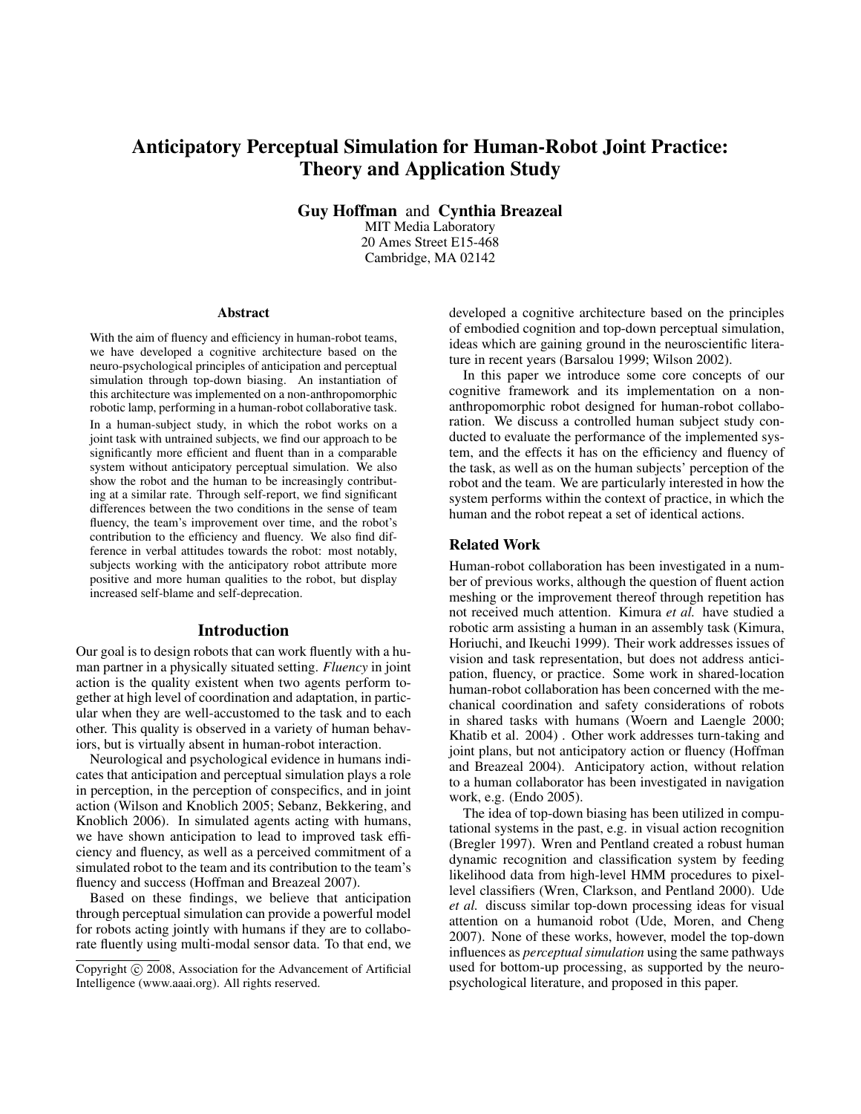# Anticipatory Perceptual Simulation for Human-Robot Joint Practice: Theory and Application Study

Guy Hoffman and Cynthia Breazeal

MIT Media Laboratory 20 Ames Street E15-468 Cambridge, MA 02142

#### Abstract

With the aim of fluency and efficiency in human-robot teams, we have developed a cognitive architecture based on the neuro-psychological principles of anticipation and perceptual simulation through top-down biasing. An instantiation of this architecture was implemented on a non-anthropomorphic robotic lamp, performing in a human-robot collaborative task. In a human-subject study, in which the robot works on a joint task with untrained subjects, we find our approach to be significantly more efficient and fluent than in a comparable system without anticipatory perceptual simulation. We also show the robot and the human to be increasingly contributing at a similar rate. Through self-report, we find significant differences between the two conditions in the sense of team fluency, the team's improvement over time, and the robot's contribution to the efficiency and fluency. We also find difference in verbal attitudes towards the robot: most notably, subjects working with the anticipatory robot attribute more positive and more human qualities to the robot, but display increased self-blame and self-deprecation.

#### Introduction

Our goal is to design robots that can work fluently with a human partner in a physically situated setting. *Fluency* in joint action is the quality existent when two agents perform together at high level of coordination and adaptation, in particular when they are well-accustomed to the task and to each other. This quality is observed in a variety of human behaviors, but is virtually absent in human-robot interaction.

Neurological and psychological evidence in humans indicates that anticipation and perceptual simulation plays a role in perception, in the perception of conspecifics, and in joint action (Wilson and Knoblich 2005; Sebanz, Bekkering, and Knoblich 2006). In simulated agents acting with humans, we have shown anticipation to lead to improved task efficiency and fluency, as well as a perceived commitment of a simulated robot to the team and its contribution to the team's fluency and success (Hoffman and Breazeal 2007).

Based on these findings, we believe that anticipation through perceptual simulation can provide a powerful model for robots acting jointly with humans if they are to collaborate fluently using multi-modal sensor data. To that end, we developed a cognitive architecture based on the principles of embodied cognition and top-down perceptual simulation, ideas which are gaining ground in the neuroscientific literature in recent years (Barsalou 1999; Wilson 2002).

In this paper we introduce some core concepts of our cognitive framework and its implementation on a nonanthropomorphic robot designed for human-robot collaboration. We discuss a controlled human subject study conducted to evaluate the performance of the implemented system, and the effects it has on the efficiency and fluency of the task, as well as on the human subjects' perception of the robot and the team. We are particularly interested in how the system performs within the context of practice, in which the human and the robot repeat a set of identical actions.

#### Related Work

Human-robot collaboration has been investigated in a number of previous works, although the question of fluent action meshing or the improvement thereof through repetition has not received much attention. Kimura *et al.* have studied a robotic arm assisting a human in an assembly task (Kimura, Horiuchi, and Ikeuchi 1999). Their work addresses issues of vision and task representation, but does not address anticipation, fluency, or practice. Some work in shared-location human-robot collaboration has been concerned with the mechanical coordination and safety considerations of robots in shared tasks with humans (Woern and Laengle 2000; Khatib et al. 2004) . Other work addresses turn-taking and joint plans, but not anticipatory action or fluency (Hoffman and Breazeal 2004). Anticipatory action, without relation to a human collaborator has been investigated in navigation work, e.g. (Endo 2005).

The idea of top-down biasing has been utilized in computational systems in the past, e.g. in visual action recognition (Bregler 1997). Wren and Pentland created a robust human dynamic recognition and classification system by feeding likelihood data from high-level HMM procedures to pixellevel classifiers (Wren, Clarkson, and Pentland 2000). Ude *et al.* discuss similar top-down processing ideas for visual attention on a humanoid robot (Ude, Moren, and Cheng 2007). None of these works, however, model the top-down influences as *perceptual simulation* using the same pathways used for bottom-up processing, as supported by the neuropsychological literature, and proposed in this paper.

Copyright (c) 2008, Association for the Advancement of Artificial Intelligence (www.aaai.org). All rights reserved.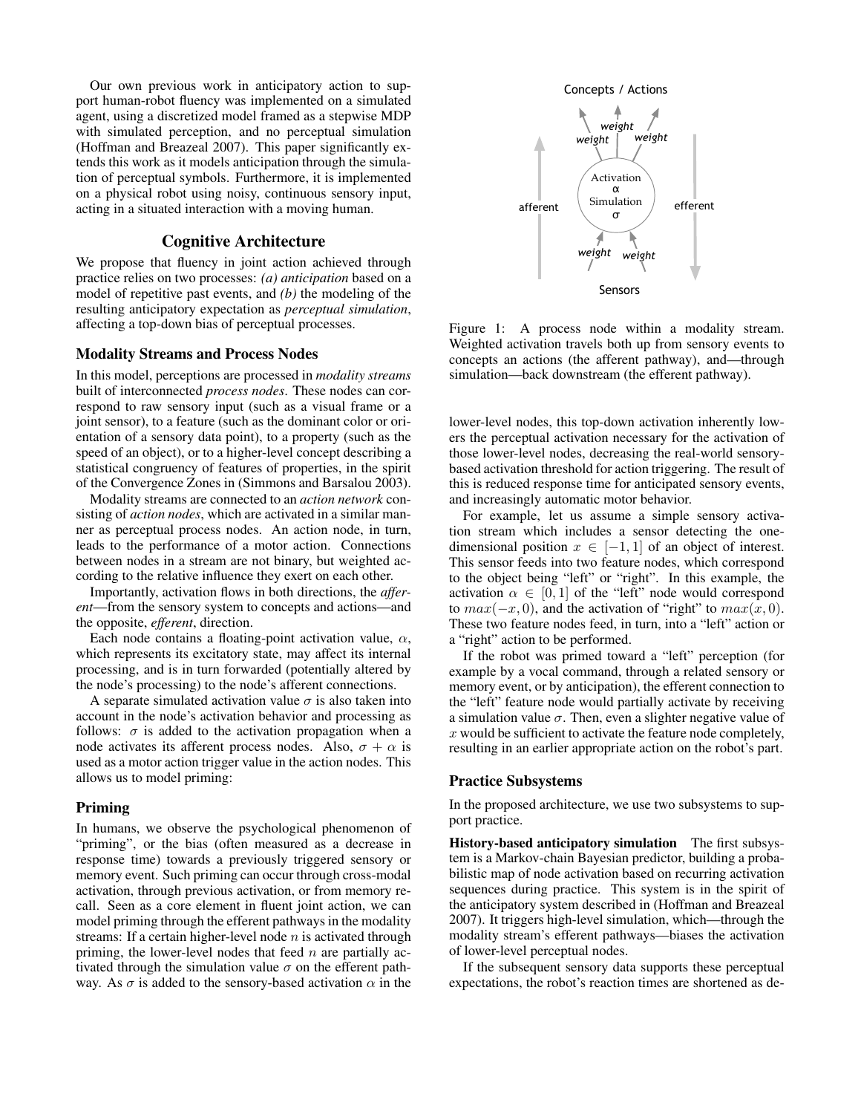Our own previous work in anticipatory action to support human-robot fluency was implemented on a simulated agent, using a discretized model framed as a stepwise MDP with simulated perception, and no perceptual simulation (Hoffman and Breazeal 2007). This paper significantly extends this work as it models anticipation through the simulation of perceptual symbols. Furthermore, it is implemented on a physical robot using noisy, continuous sensory input, acting in a situated interaction with a moving human.

### Cognitive Architecture

We propose that fluency in joint action achieved through practice relies on two processes: *(a) anticipation* based on a model of repetitive past events, and *(b)* the modeling of the resulting anticipatory expectation as *perceptual simulation*, affecting a top-down bias of perceptual processes.

## Modality Streams and Process Nodes

In this model, perceptions are processed in *modality streams* built of interconnected *process nodes*. These nodes can correspond to raw sensory input (such as a visual frame or a joint sensor), to a feature (such as the dominant color or orientation of a sensory data point), to a property (such as the speed of an object), or to a higher-level concept describing a statistical congruency of features of properties, in the spirit of the Convergence Zones in (Simmons and Barsalou 2003).

Modality streams are connected to an *action network* consisting of *action nodes*, which are activated in a similar manner as perceptual process nodes. An action node, in turn, leads to the performance of a motor action. Connections between nodes in a stream are not binary, but weighted according to the relative influence they exert on each other.

Importantly, activation flows in both directions, the *afferent*—from the sensory system to concepts and actions—and the opposite, *efferent*, direction.

Each node contains a floating-point activation value,  $\alpha$ , which represents its excitatory state, may affect its internal processing, and is in turn forwarded (potentially altered by the node's processing) to the node's afferent connections.

A separate simulated activation value  $\sigma$  is also taken into account in the node's activation behavior and processing as follows:  $\sigma$  is added to the activation propagation when a node activates its afferent process nodes. Also,  $\sigma + \alpha$  is used as a motor action trigger value in the action nodes. This allows us to model priming:

#### Priming

In humans, we observe the psychological phenomenon of "priming", or the bias (often measured as a decrease in response time) towards a previously triggered sensory or memory event. Such priming can occur through cross-modal activation, through previous activation, or from memory recall. Seen as a core element in fluent joint action, we can model priming through the efferent pathways in the modality streams: If a certain higher-level node  $n$  is activated through priming, the lower-level nodes that feed  $n$  are partially activated through the simulation value  $\sigma$  on the efferent pathway. As  $\sigma$  is added to the sensory-based activation  $\alpha$  in the



Figure 1: A process node within a modality stream. Weighted activation travels both up from sensory events to concepts an actions (the afferent pathway), and—through simulation—back downstream (the efferent pathway).

lower-level nodes, this top-down activation inherently lowers the perceptual activation necessary for the activation of those lower-level nodes, decreasing the real-world sensorybased activation threshold for action triggering. The result of this is reduced response time for anticipated sensory events, and increasingly automatic motor behavior.

For example, let us assume a simple sensory activation stream which includes a sensor detecting the onedimensional position  $x \in [-1, 1]$  of an object of interest. This sensor feeds into two feature nodes, which correspond to the object being "left" or "right". In this example, the activation  $\alpha \in [0, 1]$  of the "left" node would correspond to  $max(-x, 0)$ , and the activation of "right" to  $max(x, 0)$ . These two feature nodes feed, in turn, into a "left" action or a "right" action to be performed.

If the robot was primed toward a "left" perception (for example by a vocal command, through a related sensory or memory event, or by anticipation), the efferent connection to the "left" feature node would partially activate by receiving a simulation value  $\sigma$ . Then, even a slighter negative value of  $x$  would be sufficient to activate the feature node completely, resulting in an earlier appropriate action on the robot's part.

### Practice Subsystems

In the proposed architecture, we use two subsystems to support practice.

History-based anticipatory simulation The first subsystem is a Markov-chain Bayesian predictor, building a probabilistic map of node activation based on recurring activation sequences during practice. This system is in the spirit of the anticipatory system described in (Hoffman and Breazeal 2007). It triggers high-level simulation, which—through the modality stream's efferent pathways—biases the activation of lower-level perceptual nodes.

If the subsequent sensory data supports these perceptual expectations, the robot's reaction times are shortened as de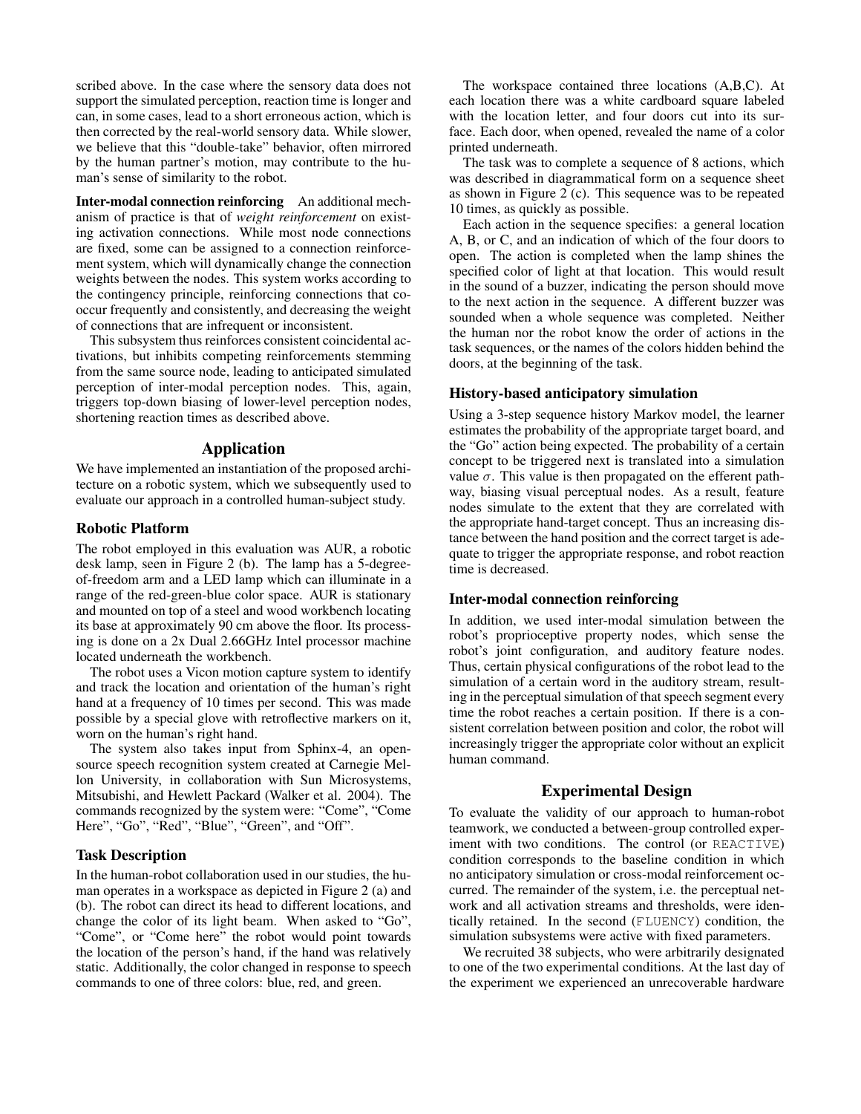scribed above. In the case where the sensory data does not support the simulated perception, reaction time is longer and can, in some cases, lead to a short erroneous action, which is then corrected by the real-world sensory data. While slower, we believe that this "double-take" behavior, often mirrored by the human partner's motion, may contribute to the human's sense of similarity to the robot.

Inter-modal connection reinforcing An additional mechanism of practice is that of *weight reinforcement* on existing activation connections. While most node connections are fixed, some can be assigned to a connection reinforcement system, which will dynamically change the connection weights between the nodes. This system works according to the contingency principle, reinforcing connections that cooccur frequently and consistently, and decreasing the weight of connections that are infrequent or inconsistent.

This subsystem thus reinforces consistent coincidental activations, but inhibits competing reinforcements stemming from the same source node, leading to anticipated simulated perception of inter-modal perception nodes. This, again, triggers top-down biasing of lower-level perception nodes, shortening reaction times as described above.

## Application

We have implemented an instantiation of the proposed architecture on a robotic system, which we subsequently used to evaluate our approach in a controlled human-subject study.

#### Robotic Platform

The robot employed in this evaluation was AUR, a robotic desk lamp, seen in Figure 2 (b). The lamp has a 5-degreeof-freedom arm and a LED lamp which can illuminate in a range of the red-green-blue color space. AUR is stationary and mounted on top of a steel and wood workbench locating its base at approximately 90 cm above the floor. Its processing is done on a 2x Dual 2.66GHz Intel processor machine located underneath the workbench.

The robot uses a Vicon motion capture system to identify and track the location and orientation of the human's right hand at a frequency of 10 times per second. This was made possible by a special glove with retroflective markers on it, worn on the human's right hand.

The system also takes input from Sphinx-4, an opensource speech recognition system created at Carnegie Mellon University, in collaboration with Sun Microsystems, Mitsubishi, and Hewlett Packard (Walker et al. 2004). The commands recognized by the system were: "Come", "Come Here", "Go", "Red", "Blue", "Green", and "Off".

#### Task Description

In the human-robot collaboration used in our studies, the human operates in a workspace as depicted in Figure 2 (a) and (b). The robot can direct its head to different locations, and change the color of its light beam. When asked to "Go", "Come", or "Come here" the robot would point towards the location of the person's hand, if the hand was relatively static. Additionally, the color changed in response to speech commands to one of three colors: blue, red, and green.

The workspace contained three locations (A,B,C). At each location there was a white cardboard square labeled with the location letter, and four doors cut into its surface. Each door, when opened, revealed the name of a color printed underneath.

The task was to complete a sequence of 8 actions, which was described in diagrammatical form on a sequence sheet as shown in Figure 2 (c). This sequence was to be repeated 10 times, as quickly as possible.

Each action in the sequence specifies: a general location A, B, or C, and an indication of which of the four doors to open. The action is completed when the lamp shines the specified color of light at that location. This would result in the sound of a buzzer, indicating the person should move to the next action in the sequence. A different buzzer was sounded when a whole sequence was completed. Neither the human nor the robot know the order of actions in the task sequences, or the names of the colors hidden behind the doors, at the beginning of the task.

## History-based anticipatory simulation

Using a 3-step sequence history Markov model, the learner estimates the probability of the appropriate target board, and the "Go" action being expected. The probability of a certain concept to be triggered next is translated into a simulation value  $\sigma$ . This value is then propagated on the efferent pathway, biasing visual perceptual nodes. As a result, feature nodes simulate to the extent that they are correlated with the appropriate hand-target concept. Thus an increasing distance between the hand position and the correct target is adequate to trigger the appropriate response, and robot reaction time is decreased.

### Inter-modal connection reinforcing

In addition, we used inter-modal simulation between the robot's proprioceptive property nodes, which sense the robot's joint configuration, and auditory feature nodes. Thus, certain physical configurations of the robot lead to the simulation of a certain word in the auditory stream, resulting in the perceptual simulation of that speech segment every time the robot reaches a certain position. If there is a consistent correlation between position and color, the robot will increasingly trigger the appropriate color without an explicit human command.

### Experimental Design

To evaluate the validity of our approach to human-robot teamwork, we conducted a between-group controlled experiment with two conditions. The control (or REACTIVE) condition corresponds to the baseline condition in which no anticipatory simulation or cross-modal reinforcement occurred. The remainder of the system, i.e. the perceptual network and all activation streams and thresholds, were identically retained. In the second (FLUENCY) condition, the simulation subsystems were active with fixed parameters.

We recruited 38 subjects, who were arbitrarily designated to one of the two experimental conditions. At the last day of the experiment we experienced an unrecoverable hardware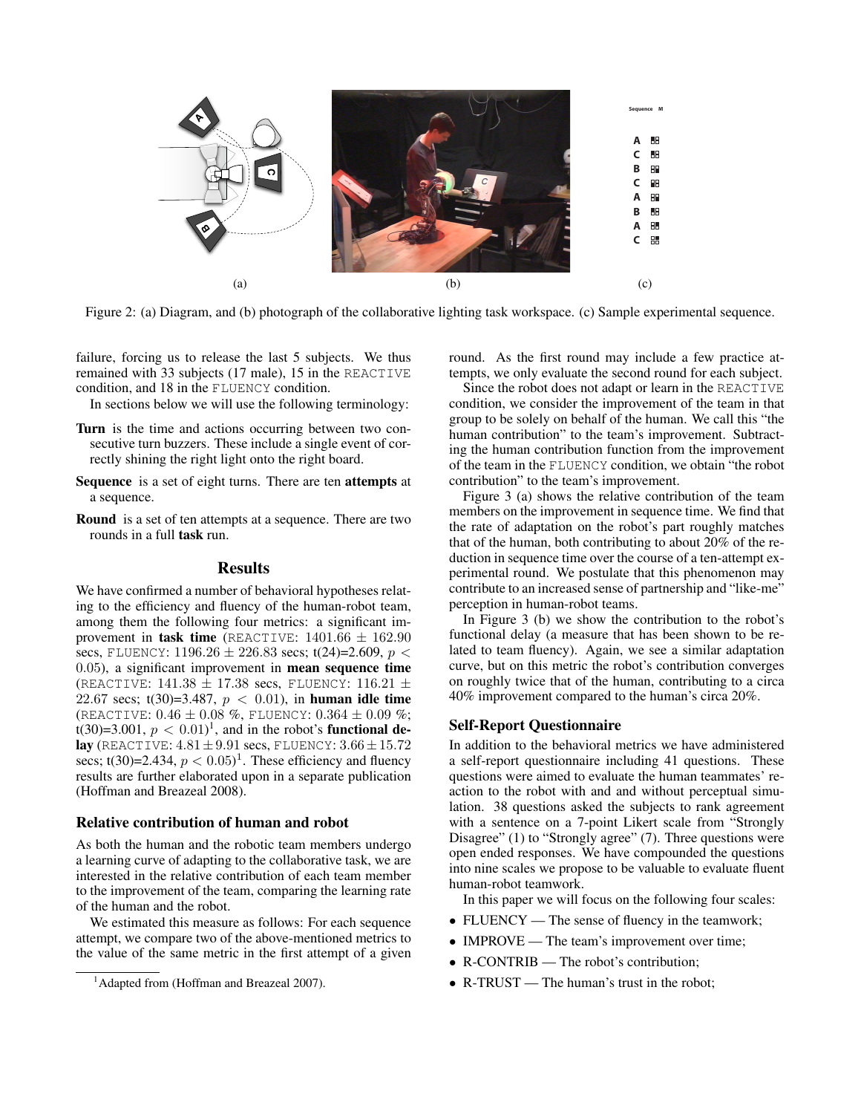

Figure 2: (a) Diagram, and (b) photograph of the collaborative lighting task workspace. (c) Sample experimental sequence.

failure, forcing us to release the last 5 subjects. We thus remained with 33 subjects (17 male), 15 in the REACTIVE condition, and 18 in the FLUENCY condition.

In sections below we will use the following terminology:

- Turn is the time and actions occurring between two consecutive turn buzzers. These include a single event of correctly shining the right light onto the right board.
- Sequence is a set of eight turns. There are ten attempts at a sequence.
- Round is a set of ten attempts at a sequence. There are two rounds in a full task run.

### **Results**

We have confirmed a number of behavioral hypotheses relating to the efficiency and fluency of the human-robot team, among them the following four metrics: a significant improvement in task time (REACTIVE:  $1401.66 \pm 162.90$ secs, FLUENCY:  $1196.26 \pm 226.83$  secs;  $t(24)=2.609$ ,  $p <$ 0.05), a significant improvement in mean sequence time (REACTIVE:  $141.38 \pm 17.38$  secs, FLUENCY:  $116.21 \pm$ 22.67 secs; t(30)=3.487,  $p < 0.01$ ), in human idle time (REACTIVE:  $0.46 \pm 0.08$  %, FLUENCY:  $0.364 \pm 0.09$  %; t(30)=3.001,  $p < 0.01$ <sup>1</sup>, and in the robot's **functional de**lay (REACTIVE:  $4.81 \pm 9.91$  secs, FLUENCY:  $3.66 \pm 15.72$ secs; t(30)=2.434,  $p < 0.05$ <sup>1</sup>. These efficiency and fluency results are further elaborated upon in a separate publication (Hoffman and Breazeal 2008).

## Relative contribution of human and robot

As both the human and the robotic team members undergo a learning curve of adapting to the collaborative task, we are interested in the relative contribution of each team member to the improvement of the team, comparing the learning rate of the human and the robot.

We estimated this measure as follows: For each sequence attempt, we compare two of the above-mentioned metrics to the value of the same metric in the first attempt of a given **A** round. As the first round may include a few practice attempts, we only evaluate the second round for each subject.

Since the robot does not adapt or learn in the REACTIVE condition, we consider the improvement of the team in that **A** group to be solely on behalf of the human. We call this "the human contribution" to the team's improvement. Subtracting the human contribution function from the improvement of the team in the FLUENCY condition, we obtain "the robot contribution" to the team's improvement.

Figure 3 (a) shows the relative contribution of the team members on the improvement in sequence time. We find that the rate of adaptation on the robot's part roughly matches that of the human, both contributing to about 20% of the reduction in sequence time over the course of a ten-attempt experimental round. We postulate that this phenomenon may contribute to an increased sense of partnership and "like-me" perception in human-robot teams.

In Figure 3 (b) we show the contribution to the robot's functional delay (a measure that has been shown to be related to team fluency). Again, we see a similar adaptation curve, but on this metric the robot's contribution converges on roughly twice that of the human, contributing to a circa 40% improvement compared to the human's circa 20%.

### Self-Report Questionnaire

In addition to the behavioral metrics we have administered a self-report questionnaire including 41 questions. These questions were aimed to evaluate the human teammates' reaction to the robot with and and without perceptual simulation. 38 questions asked the subjects to rank agreement with a sentence on a 7-point Likert scale from "Strongly Disagree" (1) to "Strongly agree" (7). Three questions were open ended responses. We have compounded the questions into nine scales we propose to be valuable to evaluate fluent human-robot teamwork.

In this paper we will focus on the following four scales:

- FLUENCY The sense of fluency in the teamwork;
- IMPROVE The team's improvement over time;
- R-CONTRIB The robot's contribution:
- R-TRUST The human's trust in the robot;

<sup>&</sup>lt;sup>1</sup> Adapted from (Hoffman and Breazeal 2007).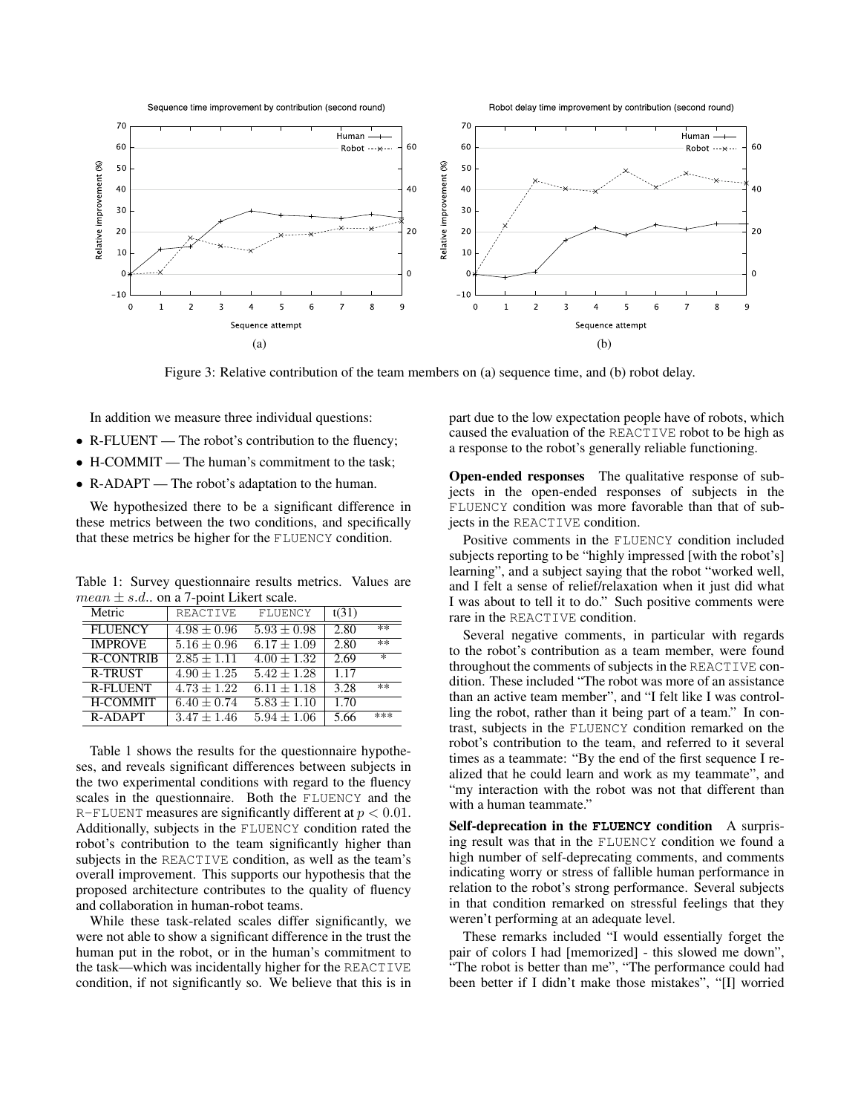

Figure 3: Relative contribution of the team members on (a) sequence time, and (b) robot delay.

In addition we measure three individual questions:

- R-FLUENT The robot's contribution to the fluency;
- H-COMMIT The human's commitment to the task;
- R-ADAPT The robot's adaptation to the human.

We hypothesized there to be a significant difference in these metrics between the two conditions, and specifically that these metrics be higher for the FLUENCY condition.

Table 1: Survey questionnaire results metrics. Values are  $mean \pm s.d.,$  on a 7-point Likert scale.

| Metric           | REACTIVE        | FLUENCY         | t(31) |        |
|------------------|-----------------|-----------------|-------|--------|
| <b>FLUENCY</b>   | $4.98 \pm 0.96$ | $5.93 \pm 0.98$ | 2.80  | **     |
| <b>IMPROVE</b>   | $5.16 \pm 0.96$ | $6.17 \pm 1.09$ | 2.80  | $***$  |
| <b>R-CONTRIB</b> | $2.85 + 1.11$   | $4.00 \pm 1.32$ | 2.69  | $\ast$ |
| <b>R-TRUST</b>   | $4.90 + 1.25$   | $5.42 + 1.28$   | 1.17  |        |
| <b>R-FLUENT</b>  | $4.73 \pm 1.22$ | $6.11 \pm 1.18$ | 3.28  | $***$  |
| <b>H-COMMIT</b>  | $6.40 \pm 0.74$ | $5.83 \pm 1.10$ | 1.70  |        |
| R-ADAPT          | $3.47 + 1.46$   | $5.94 + 1.06$   | 5.66  | ***    |

Table 1 shows the results for the questionnaire hypotheses, and reveals significant differences between subjects in the two experimental conditions with regard to the fluency scales in the questionnaire. Both the FLUENCY and the R-FLUENT measures are significantly different at  $p < 0.01$ . Additionally, subjects in the FLUENCY condition rated the robot's contribution to the team significantly higher than subjects in the REACTIVE condition, as well as the team's overall improvement. This supports our hypothesis that the proposed architecture contributes to the quality of fluency and collaboration in human-robot teams.

While these task-related scales differ significantly, we were not able to show a significant difference in the trust the human put in the robot, or in the human's commitment to the task—which was incidentally higher for the REACTIVE condition, if not significantly so. We believe that this is in

part due to the low expectation people have of robots, which caused the evaluation of the REACTIVE robot to be high as a response to the robot's generally reliable functioning.

Open-ended responses The qualitative response of subjects in the open-ended responses of subjects in the FLUENCY condition was more favorable than that of subjects in the REACTIVE condition.

Positive comments in the FLUENCY condition included subjects reporting to be "highly impressed [with the robot's] learning", and a subject saying that the robot "worked well, and I felt a sense of relief/relaxation when it just did what I was about to tell it to do." Such positive comments were rare in the REACTIVE condition.

Several negative comments, in particular with regards to the robot's contribution as a team member, were found throughout the comments of subjects in the REACTIVE condition. These included "The robot was more of an assistance than an active team member", and "I felt like I was controlling the robot, rather than it being part of a team." In contrast, subjects in the FLUENCY condition remarked on the robot's contribution to the team, and referred to it several times as a teammate: "By the end of the first sequence I realized that he could learn and work as my teammate", and "my interaction with the robot was not that different than with a human teammate.'

Self-deprecation in the **FLUENCY** condition A surprising result was that in the FLUENCY condition we found a high number of self-deprecating comments, and comments indicating worry or stress of fallible human performance in relation to the robot's strong performance. Several subjects in that condition remarked on stressful feelings that they weren't performing at an adequate level.

These remarks included "I would essentially forget the pair of colors I had [memorized] - this slowed me down", The robot is better than me", "The performance could had been better if I didn't make those mistakes", "[I] worried